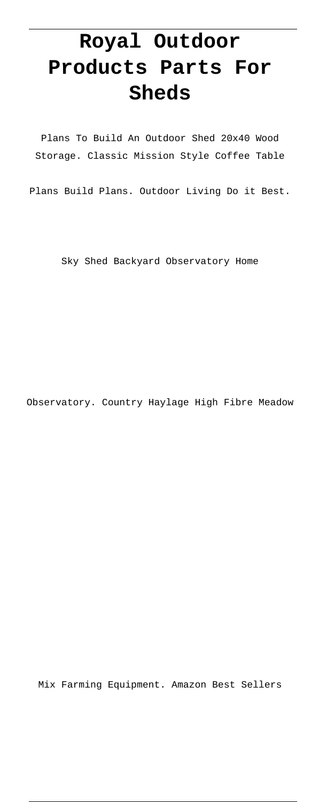# **Royal Outdoor Products Parts For Sheds**

Plans To Build An Outdoor Shed 20x40 Wood Storage. Classic Mission Style Coffee Table

Plans Build Plans. Outdoor Living Do it Best.

Sky Shed Backyard Observatory Home

Observatory. Country Haylage High Fibre Meadow

Mix Farming Equipment. Amazon Best Sellers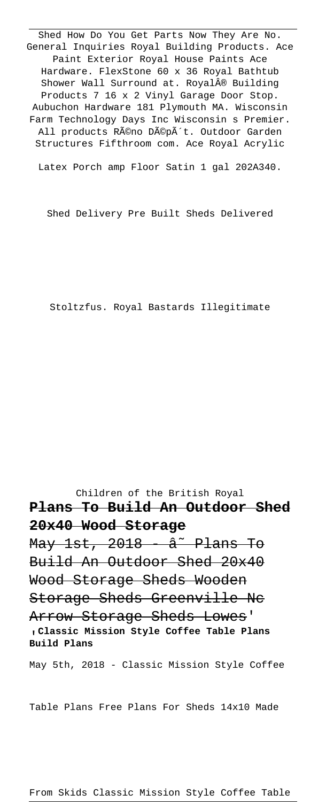Shed How Do You Get Parts Now They Are No. General Inquiries Royal Building Products. Ace Paint Exterior Royal House Paints Ace Hardware. FlexStone 60 x 36 Royal Bathtub Shower Wall Surround at. Royal® Building Products 7 16 x 2 Vinyl Garage Door Stop. Aubuchon Hardware 181 Plymouth MA. Wisconsin Farm Technology Days Inc Wisconsin s Premier. All products Réno Dépôt. Outdoor Garden Structures Fifthroom com. Ace Royal Acrylic

Latex Porch amp Floor Satin 1 gal 202A340.

Shed Delivery Pre Built Sheds Delivered

Stoltzfus. Royal Bastards Illegitimate

Children of the British Royal **Plans To Build An Outdoor Shed 20x40 Wood Storage**  $\frac{May}{1st}$ , 2018 -  $\hat{a}$  Plans To Build An Outdoor Shed 20x40 Wood Storage Sheds Wooden Storage Sheds Greenville Nc Arrow Storage Sheds Lowes' '**Classic Mission Style Coffee Table Plans Build Plans** May 5th, 2018 - Classic Mission Style Coffee

Table Plans Free Plans For Sheds 14x10 Made

From Skids Classic Mission Style Coffee Table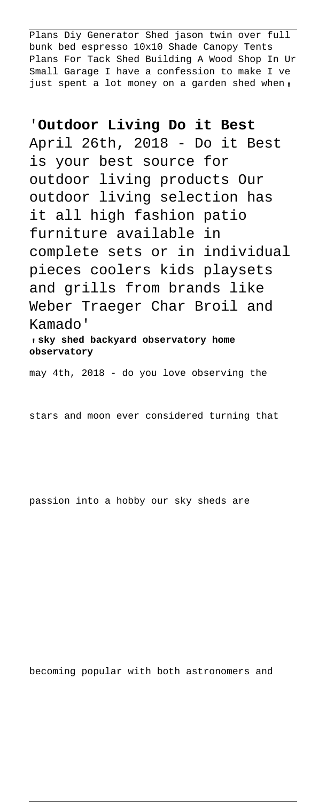Plans Diy Generator Shed jason twin over full bunk bed espresso 10x10 Shade Canopy Tents Plans For Tack Shed Building A Wood Shop In Ur Small Garage I have a confession to make I ve just spent a lot money on a garden shed when,

## '**Outdoor Living Do it Best**

April 26th, 2018 - Do it Best is your best source for outdoor living products Our outdoor living selection has it all high fashion patio furniture available in complete sets or in individual pieces coolers kids playsets and grills from brands like Weber Traeger Char Broil and Kamado'

'**sky shed backyard observatory home observatory**

may 4th, 2018 - do you love observing the

stars and moon ever considered turning that

passion into a hobby our sky sheds are

becoming popular with both astronomers and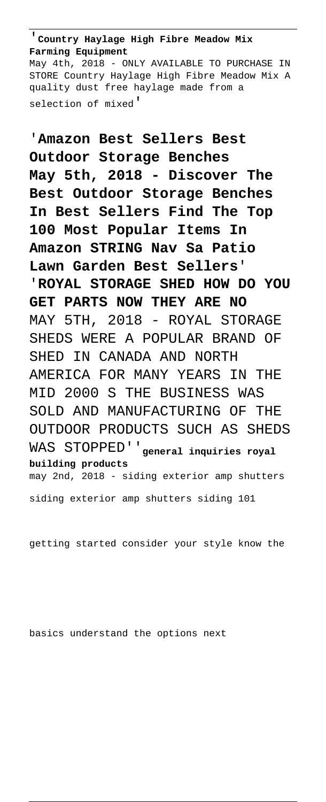'**Country Haylage High Fibre Meadow Mix Farming Equipment**

May 4th, 2018 - ONLY AVAILABLE TO PURCHASE IN STORE Country Haylage High Fibre Meadow Mix A quality dust free haylage made from a selection of mixed'

'**Amazon Best Sellers Best Outdoor Storage Benches May 5th, 2018 - Discover The Best Outdoor Storage Benches In Best Sellers Find The Top 100 Most Popular Items In Amazon STRING Nav Sa Patio Lawn Garden Best Sellers**' '**ROYAL STORAGE SHED HOW DO YOU GET PARTS NOW THEY ARE NO** MAY 5TH, 2018 - ROYAL STORAGE SHEDS WERE A POPULAR BRAND OF SHED IN CANADA AND NORTH AMERICA FOR MANY YEARS IN THE MID 2000 S THE BUSINESS WAS SOLD AND MANUFACTURING OF THE OUTDOOR PRODUCTS SUCH AS SHEDS WAS STOPPED''**general inquiries royal building products** may 2nd, 2018 - siding exterior amp shutters siding exterior amp shutters siding 101

getting started consider your style know the

basics understand the options next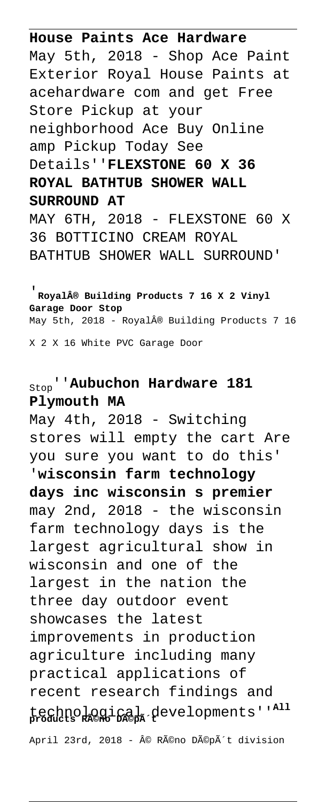**House Paints Ace Hardware** May 5th, 2018 - Shop Ace Paint Exterior Royal House Paints at acehardware com and get Free Store Pickup at your neighborhood Ace Buy Online amp Pickup Today See Details''**FLEXSTONE 60 X 36 ROYAL BATHTUB SHOWER WALL SURROUND AT** MAY 6TH, 2018 - FLEXSTONE 60 X 36 BOTTICINO CREAM ROYAL

BATHTUB SHOWER WALL SURROUND'

'**Royal® Building Products 7 16 X 2 Vinyl Garage Door Stop** May 5th, 2018 - Royal® Building Products 7 16

X 2 X 16 White PVC Garage Door

# Stop''**Aubuchon Hardware 181 Plymouth MA**

May 4th, 2018 - Switching stores will empty the cart Are you sure you want to do this' '**wisconsin farm technology days inc wisconsin s premier** may 2nd, 2018 - the wisconsin farm technology days is the largest agricultural show in wisconsin and one of the largest in the nation the three day outdoor event showcases the latest improvements in production agriculture including many practical applications of recent research findings and technological developments''**All products Réno Dépôt** April 23rd, 2018 - © Réno Dépôt division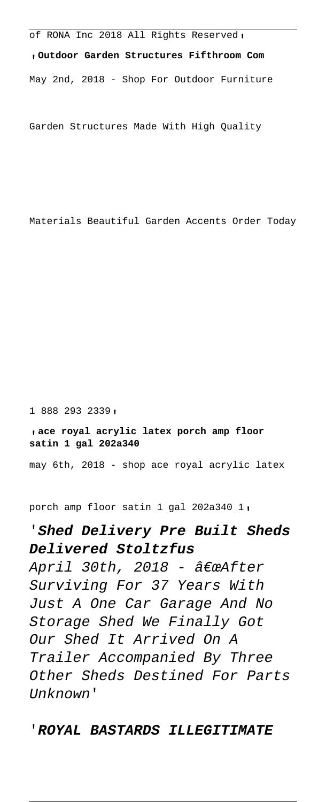of RONA Inc 2018 All Rights Reserved,

'**Outdoor Garden Structures Fifthroom Com** May 2nd, 2018 - Shop For Outdoor Furniture

Garden Structures Made With High Quality

Materials Beautiful Garden Accents Order Today

1 888 293 2339'

#### '**ace royal acrylic latex porch amp floor satin 1 gal 202a340**

may 6th, 2018 - shop ace royal acrylic latex

porch amp floor satin 1 gal 202a340 1'

## '**Shed Delivery Pre Built Sheds Delivered Stoltzfus**

April 30th, 2018 -  $\hat{\alpha}\epsilon$ wafter Surviving For 37 Years With Just A One Car Garage And No Storage Shed We Finally Got Our Shed It Arrived On A Trailer Accompanied By Three Other Sheds Destined For Parts Unknown'

### '**ROYAL BASTARDS ILLEGITIMATE**